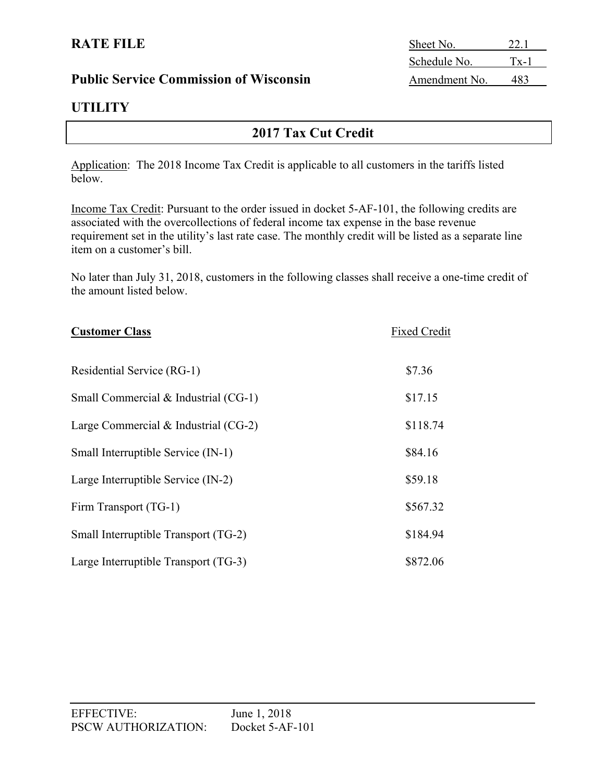### **Public Service Commission of Wisconsin**

# **UTILITY**

# **2017 Tax Cut Credit**

Application: The 2018 Income Tax Credit is applicable to all customers in the tariffs listed below.

Income Tax Credit: Pursuant to the order issued in docket 5-AF-101, the following credits are associated with the overcollections of federal income tax expense in the base revenue requirement set in the utility's last rate case. The monthly credit will be listed as a separate line item on a customer's bill.

No later than July 31, 2018, customers in the following classes shall receive a one-time credit of the amount listed below.

| <b>Customer Class</b>                  | <b>Fixed Credit</b> |
|----------------------------------------|---------------------|
| Residential Service (RG-1)             | \$7.36              |
| Small Commercial $&$ Industrial (CG-1) | \$17.15             |
| Large Commercial $&$ Industrial (CG-2) | \$118.74            |
| Small Interruptible Service (IN-1)     | \$84.16             |
| Large Interruptible Service (IN-2)     | \$59.18             |
| Firm Transport (TG-1)                  | \$567.32            |
| Small Interruptible Transport (TG-2)   | \$184.94            |
| Large Interruptible Transport (TG-3)   | \$872.06            |

| <b>RATE FILE</b>                              | Sheet No.    |          |
|-----------------------------------------------|--------------|----------|
|                                               | Schedule No. | $Tx - 1$ |
| <b>Public Service Commission of Wisconsin</b> | Amendment No |          |